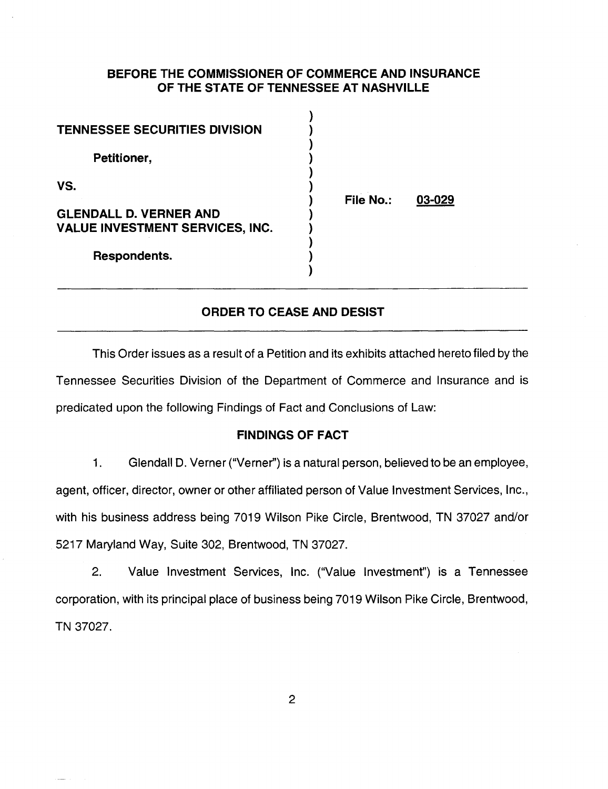### **BEFORE THE COMMISSIONER OF COMMERCE AND INSURANCE OF THE STATE OF TENNESSEE AT NASHVILLE**

 $\lambda$ 

| <b>TENNESSEE SECURITIES DIVISION</b>                                                           |           |        |
|------------------------------------------------------------------------------------------------|-----------|--------|
| Petitioner,                                                                                    |           |        |
| VS.<br><b>GLENDALL D. VERNER AND</b><br><b>VALUE INVESTMENT SERVICES, INC.</b><br>Respondents. | File No.: | 03-029 |

## **ORDER TO CEASE AND DESIST**

This Order issues as a result of a Petition and its exhibits attached hereto filed by the Tennessee Securities Division of the Department of Commerce and Insurance and is predicated upon the following Findings of Fact and Conclusions of Law:

### **FINDINGS OF FACT**

1. Glendall D. Verner ("Verner") is a natural person, believed to be an employee, agent, officer, director, owner or other affiliated person of Value Investment Services, Inc., with his business address being 7019 Wilson Pike Circle, Brentwood, TN 37027 and/or 5217 Maryland Way, Suite 302, Brentwood, TN 37027.

2. Value Investment Services, Inc. ("Value Investment") is a Tennessee corporation, with its principal place of business being 7019 Wilson Pike Circle, Brentwood, TN 37027.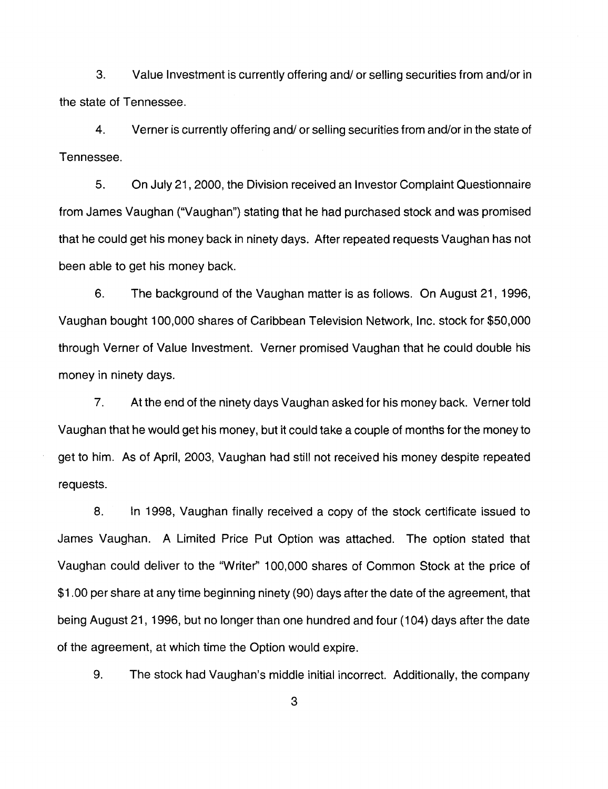3. Value Investment is currently offering and/ or selling securities from and/or in the state of Tennessee.

4. Verner is currently offering and/ or selling securities from and/or in the state of Tennessee.

5. On July 21, 2000, the Division received an Investor Complaint Questionnaire from James Vaughan ("Vaughan") stating that he had purchased stock and was promised that he could get his money back in ninety days. After repeated requests Vaughan has not been able to get his money back.

6. The background of the Vaughan matter is as follows. On August 21, 1996, Vaughan bought 100,000 shares of Caribbean Television Network, Inc. stock for \$50,000 through Verner of Value Investment. Verner promised Vaughan that he could double his money in ninety days.

7. At the end of the ninety days Vaughan asked for his money back. Verner told Vaughan that he would get his money, but it could take a couple of months for the money to get to him. As of April, 2003, Vaughan had still not received his money despite repeated requests.

8. In 1998, Vaughan finally received a copy of the stock certificate issued to James Vaughan. A Limited Price Put Option was attached. The option stated that Vaughan could deliver to the "Writer" 100,000 shares of Common Stock at the price of \$1.00 per share at any time beginning ninety (90) days after the date of the agreement, that being August 21, 1996, but no longer than one hundred and four (104) days after the date of the agreement, at which time the Option would expire.

9. The stock had Vaughan's middle initial incorrect. Additionally, the company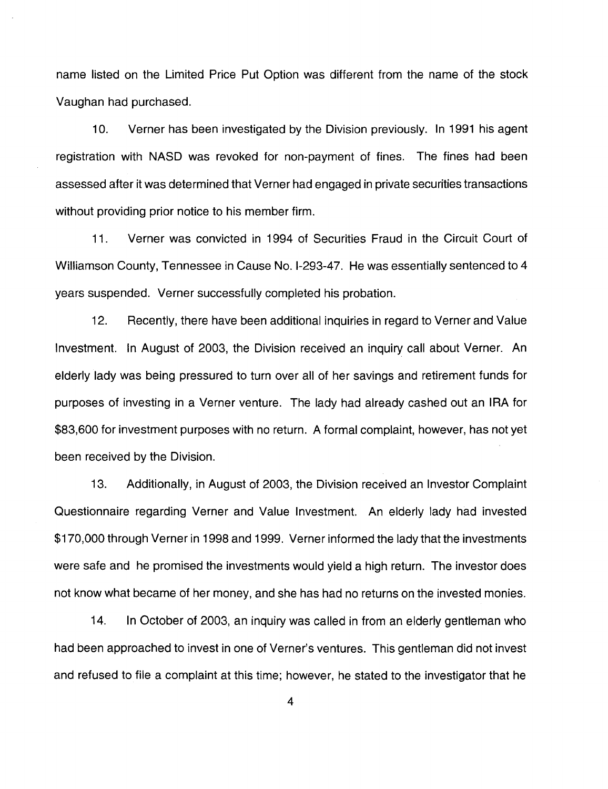name listed on the Limited Price Put Option was different from the name of the stock Vaughan had purchased.

10. Verner has been investigated by the Division previously. In 1991 his agent registration with NASD was revoked for non-payment of fines. The fines had been assessed after it was determined that Verner had engaged in private securities transactions without providing prior notice to his member firm.

11. Verner was convicted in 1994 of Securities Fraud in the Circuit Court of Williamson County, Tennessee in Cause No. 1-293-47. He was essentially sentenced to 4 years suspended. Verner successfully completed his probation.

12. Recently, there have been additional inquiries in regard to Verner and Value Investment. In August of 2003, the Division received an inquiry call about Verner. An elderly lady was being pressured to turn over all of her savings and retirement funds for purposes of investing in a Verner venture. The lady had already cashed out an IRA for \$83,600 for investment purposes with no return. A formal complaint, however, has not yet been received by the Division.

13. Additionally, in August of 2003, the Division received an Investor Complaint Questionnaire regarding Verner and Value Investment. An elderly lady had invested \$170,000 through Verner in 1998 and 1999. Verner informed the lady that the investments were safe and he promised the investments would yield a high return. The investor does not know what became of her money, and she has had no returns on the invested monies.

14. In October of 2003, an inquiry was called in from an elderly gentleman who had been approached to invest in one of Verner's ventures. This gentleman did not invest and refused to file a complaint at this time; however, he stated to the investigator that he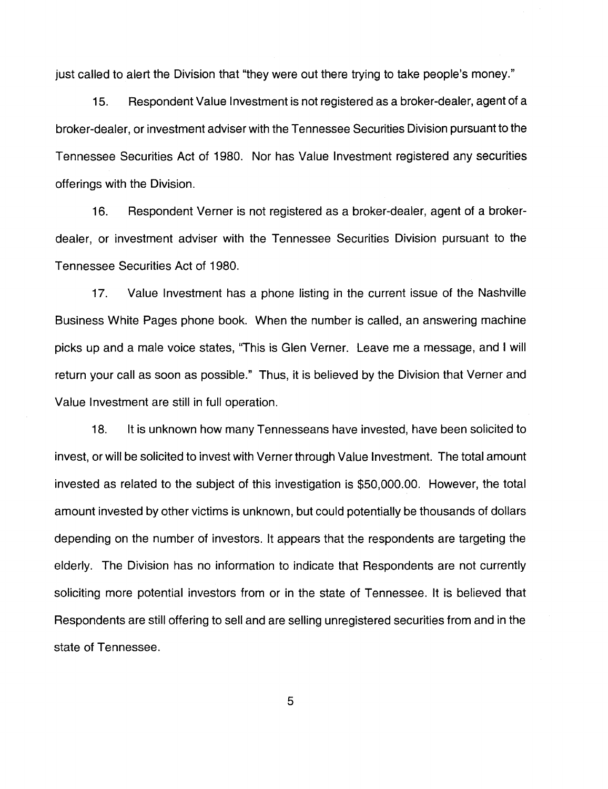just called to alert the Division that "they were out there trying to take people's money."

15. Respondent Value Investment is not registered as a broker-dealer, agent of a broker-dealer, or investment adviser with the Tennessee Securities Division pursuant to the Tennessee Securities Act of 1980. Nor has Value Investment registered any securities offerings with the Division.

16. Respondent Verner is not registered as a broker-dealer, agent of a brokerdealer, or investment adviser with the Tennessee Securities Division pursuant to the Tennessee Securities Act of 1980.

17. Value Investment has a phone listing in the current issue of the Nashville Business White Pages phone book. When the number is called, an answering machine picks up and a male voice states, "This is Glen Verner. Leave me a message, and I will return your call as soon as possible." Thus, it is believed by the Division that Verner and Value Investment are still in full operation.

18. It is unknown how many Tennesseans have invested, have been solicited to invest, or will be solicited to invest with Verner through Value Investment. The total amount invested as related to the subject of this investigation is \$50,000.00. However, the total amount invested by other victims is unknown, but could potentially be thousands of dollars depending on the number of investors. It appears that the respondents are targeting the elderly. The Division has no information to indicate that Respondents are not currently soliciting more potential investors from or in the state of Tennessee. It is believed that Respondents are still offering to sell and are selling unregistered securities from and in the state of Tennessee.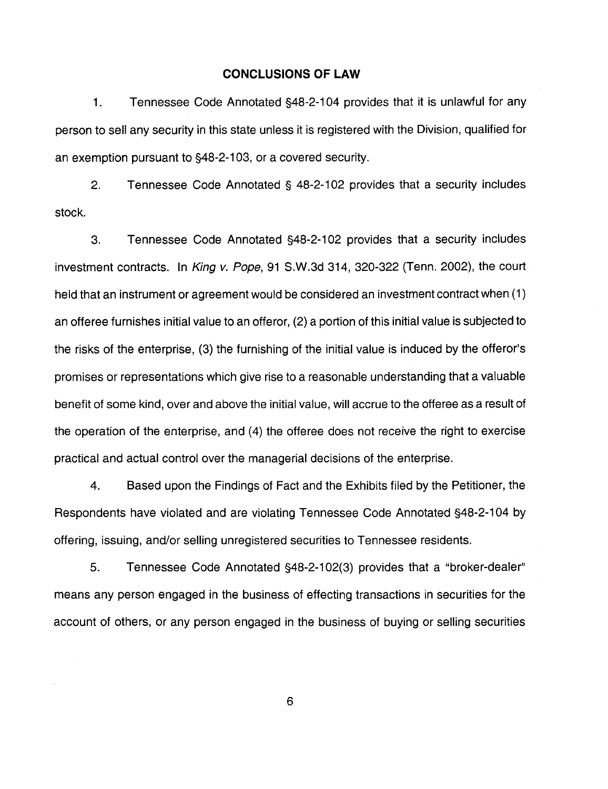#### **CONCLUSIONS OF LAW**

1. Tennessee Code Annotated §48-2-1 04 provides that it is unlawful for any person to sell any security in this state unless it is registered with the Division, qualified for an exemption pursuant to §48-2-1 03, or a covered security.

2. Tennessee Code Annotated § 48-2-102 provides that a security includes stock.

3. Tennessee Code Annotated §48-2-1 02 provides that a security includes investment contracts. In King v. Pope, 91 S.W.3d 314, 320-322 (Tenn. 2002), the court held that an instrument or agreement would be considered an investment contract when (1) an offeree furnishes initial value to an offeror, (2) a portion of this initial value is subjected to the risks of the enterprise, (3) the furnishing of the initial value is induced by the offeror's promises or representations which give rise to a reasonable understanding that a valuable benefit of some kind, over and above the initial value, will accrue to the offeree as a result of the operation of the enterprise, and (4) the offeree does not receive the right to exercise practical and actual control over the managerial decisions of the enterprise.

4. Based upon the Findings of Fact and the Exhibits filed by the Petitioner, the Respondents have violated and are violating Tennessee Code Annotated §48-2-104 by offering, issuing, and/or selling unregistered securities to Tennessee residents.

5. Tennessee Code Annotated §48-2-1 02(3) provides that a "broker-dealer" means any person engaged in the business of effecting transactions in securities for the account of others, or any person engaged in the business of buying or selling securities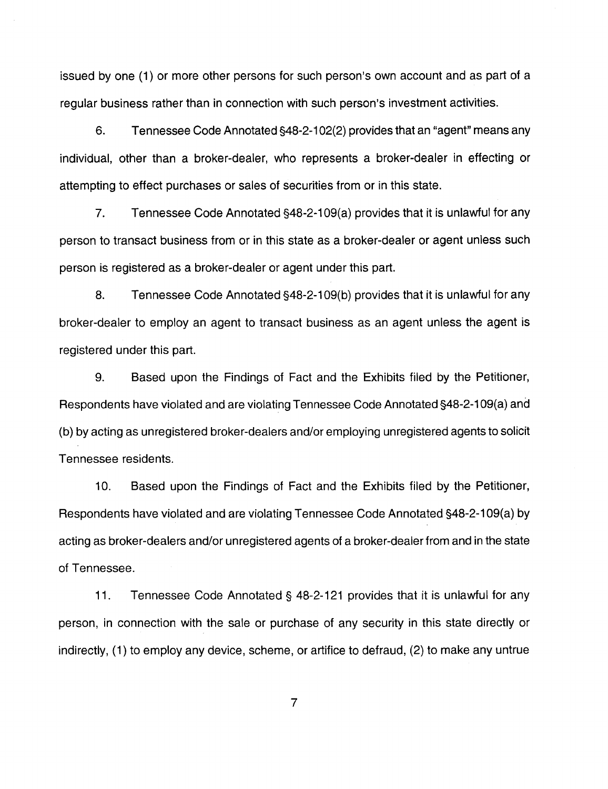issued by one (1) or more other persons for such person's own account and as part of a regular business rather than in connection with such person's investment activities.

6. Tennessee Code Annotated §48-2-1 02(2) provides that an "agent" means any individual, other than a broker-dealer, who represents a broker-dealer in effecting or attempting to effect purchases or sales of securities from or in this state.

7. Tennessee Code Annotated §48-2-109(a) provides that it is unlawful for any person to transact business from or in this state as a broker-dealer or agent unless such person is registered as a broker-dealer or agent under this part.

8. Tennessee Code Annotated §48-2-109(b) provides that it is unlawful for any broker-dealer to employ an agent to transact business as an agent unless the agent is registered under this part.

9. Based upon the Findings of Fact and the Exhibits filed by the Petitioner, Respondents have violated and are violating Tennessee Code Annotated §48-2-1 09(a) and (b) by acting as unregistered broker-dealers and/or employing unregistered agents to solicit Tennessee residents.

10. Based upon the Findings of Fact and the Exhibits filed by the Petitioner, Respondents have violated and are violating Tennessee Code Annotated §48-2-1 09(a) by acting as broker-dealers and/or unregistered agents of a broker-dealer from and in the state of Tennessee.

11. Tennessee Code Annotated § 48-2-121 provides that it is unlawful for any person, in connection with the sale or purchase of any security in this state directly or indirectly, (1) to employ any device, scheme, or artifice to defraud, (2) to make any untrue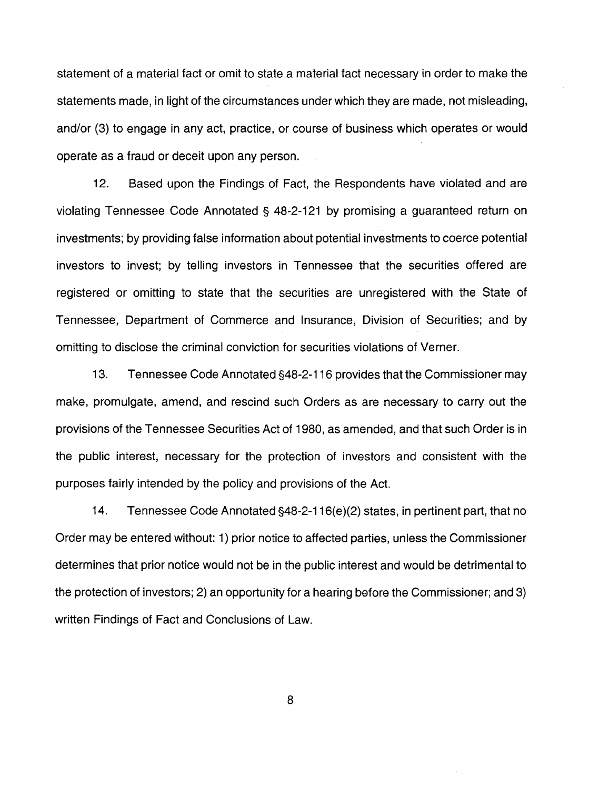statement of a material fact or omit to state a material fact necessary in order to make the statements made, in light of the circumstances under which they are made, not misleading, and/or (3) to engage in any act, practice, or course of business which operates or would operate as a fraud or deceit upon any person.

12. Based upon the Findings of Fact, the Respondents have violated and are violating Tennessee Code Annotated§ 48-2-121 by promising a guaranteed return on investments; by providing false information about potential investments to coerce potential investors to invest; by telling investors in Tennessee that the securities offered are registered or omitting to state that the securities are unregistered with the State of Tennessee, Department of Commerce and Insurance, Division of Securities; and by omitting to disclose the criminal conviction for securities violations of Verner.

13. Tennessee Code Annotated §48-2-116 provides that the Commissioner may make, promulgate, amend, and rescind such Orders as are necessary to carry out the provisions of the Tennessee Securities Act of 1980, as amended, and that such Order is in the public interest, necessary for the protection of investors and consistent with the purposes fairly intended by the policy and provisions of the Act.

14. Tennessee Code Annotated §48-2-116(e)(2) states, in pertinent part, that no Order may be entered without: 1) prior notice to affected parties, unless the Commissioner determines that prior notice would not be in the public interest and would be detrimental to the protection of investors; 2) an opportunity for a hearing before the Commissioner; and 3) written Findings of Fact and Conclusions of Law.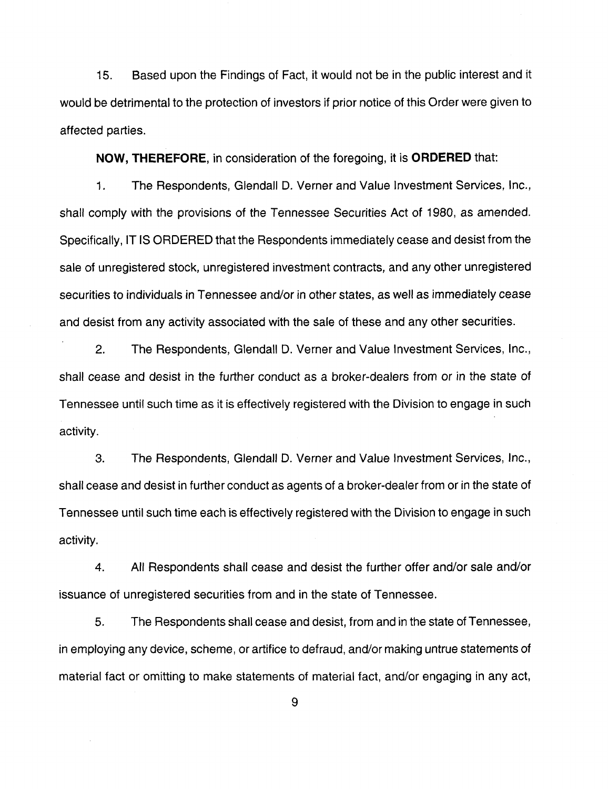15. Based upon the Findings of Fact, it would not be in the public interest and it would be detrimental to the protection of investors if prior notice of this Order were given to affected parties.

**NOW, THEREFORE,** in consideration of the foregoing, it is **ORDERED** that:

1. The Respondents, Glendall D. Verner and Value Investment Services, Inc., shall comply with the provisions of the Tennessee Securities Act of 1980, as amended. Specifically, IT IS ORDERED that the Respondents immediately cease and desist from the sale of unregistered stock, unregistered investment contracts, and any other unregistered securities to individuals in Tennessee and/or in other states, as well as immediately cease and desist from any activity associated with the sale of these and any other securities.

2. The Respondents, Glendall D. Verner and Value Investment Services, Inc., shall cease and desist in the further conduct as a broker-dealers from or in the state of Tennessee until such time as it is effectively registered with the Division to engage in such activity.

3. The Respondents, Glendall D. Verner and Value Investment Services, Inc., shall cease and desist in further conduct as agents of a broker-dealer from or in the state of Tennessee until such time each is effectively registered with the Division to engage in such activity.

4. All Respondents shall cease and desist the further offer and/or sale and/or issuance of unregistered securities from and in the state of Tennessee.

5. The Respondents shall cease and desist, from and in the state of Tennessee, in employing any device, scheme, or artifice to defraud, and/or making untrue statements of material fact or omitting to make statements of material fact, and/or engaging in any act,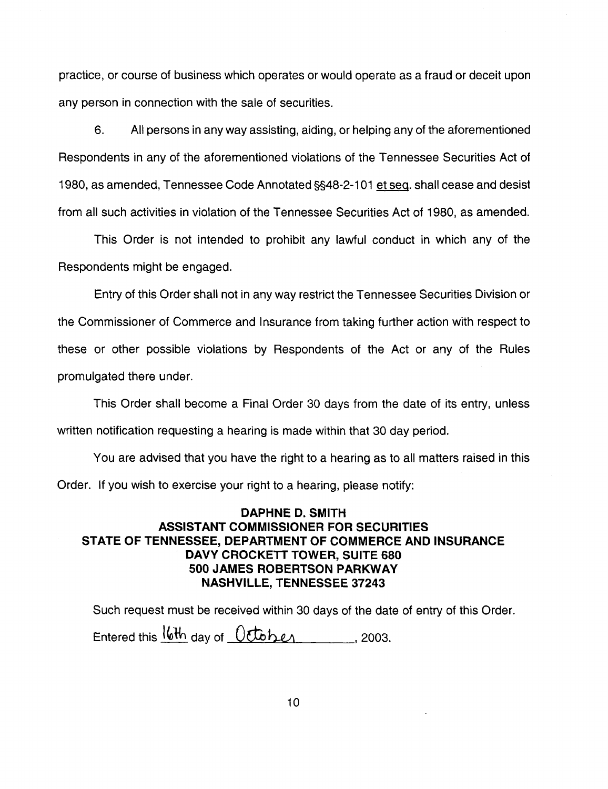practice, or course of business which operates or would operate as a fraud or deceit upon any person in connection with the sale of securities.

6. All persons in any way assisting, aiding, or helping any of the aforementioned Respondents in any of the aforementioned violations of the Tennessee Securities Act of 1980, as amended, Tennessee Code Annotated §§48-2-1 01 et seq. shall cease and desist from all such activities in violation of the Tennessee Securities Act of 1980, as amended.

This Order is not intended to prohibit any lawful conduct in which any of the Respondents might be engaged.

Entry of this Order shall not in any way restrict the Tennessee Securities Division or the Commissioner of Commerce and Insurance from taking further action with respect to these or other possible violations by Respondents of the Act or any of the Rules promulgated there under.

This Order shall become a Final Order 30 days from the date of its entry, unless written notification requesting a hearing is made within that 30 day period.

You are advised that you have the right to a hearing as to all matters raised in this Order. If you wish to exercise your right to a hearing, please notify:

# **DAPHNE D. SMITH ASSISTANT COMMISSIONER FOR SECURITIES STATE OF TENNESSEE, DEPARTMENT OF COMMERCE AND INSURANCE DAVY CROCKETT TOWER, SUITE 680 500 JAMES ROBERTSON PARKWAY NASHVILLE, TENNESSEE 37243**

Such request must be received within 30 days of the date of entry of this Order. Entered this  $16th$  day of  $0cb$   $h$   $\ell$ , 2003.